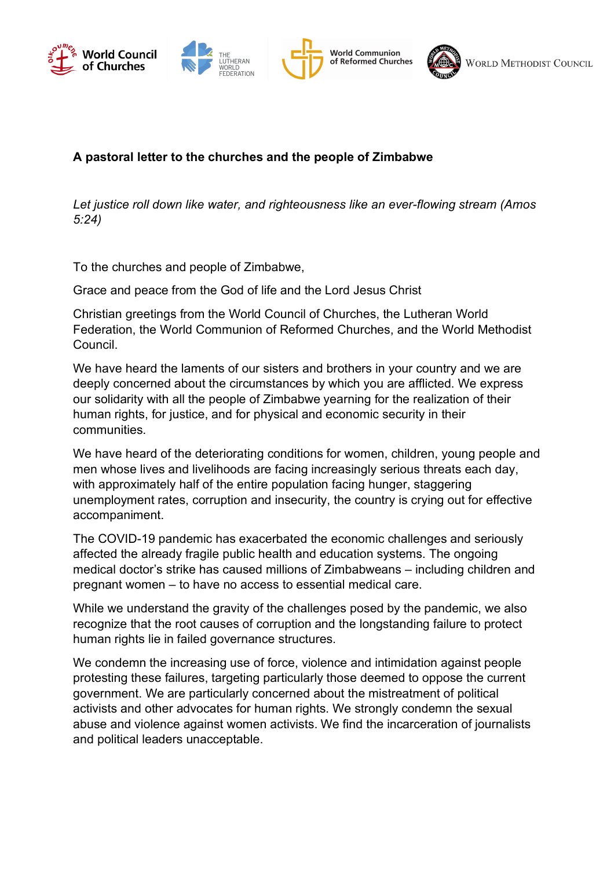





## **A** pastoral letter to the churches and the people of Zimbabwe

Let justice roll down like water, and righteousness like an ever-flowing stream (Amos *5:24)*

To the churches and people of Zimbabwe,

Cross and peace from the God of life and the Lord Jesus Christ Churches (Warehouse Home and Council for World Federation Council for World Mission (CWM), have world Mission (CWM), have council for World Mission (CWM), have council for World Mission (CWM), have council for World Missio Grace and peace from the God of life and the Lord Jesus Christ

Christian greetings from the World Council of Churches, the Lutheran World Federation, the World Communion of Reformed Churches, and the World Methodist more than half a million deaths, massive unemployment, massive unemployment, poverty, poverty, poverty, poverty, poverty, and a million deaths, poverty, poverty, poverty, and a million deaths, poverty, and a million deaths Council.

inequality in many parts of the world. deeply concerned about the circumstances by which you are afflicted. We express our solidarity with all the people of Zimbabwe yearning for the realization of their human rights, for justice, and for physical and economic security in their aliz Gommunies.  $\overline{a}$ We have heard the laments of our sisters and brothers in your country and we are communities.

We have heard of the deteriorating conditions for women, children, young people and men whose lives and livelihoods are facing increasingly serious threats each day, unemployment rates, corruption and insecurity, the country is crying out for effective companiment. The intervention of this scale and poor the scale and poorly of this scale and poorly of the scale and poorly of the scale and poorly of the scale and poorly of the scale and poorly of the scale and poorly of magnitude. It has exposed the deeper crisis which is a result of the current economic and current economic and with approximately half of the entire population facing hunger, staggering

The COVID-19 pandemic has exacerbated the economic challenges and seriously affected the already fragile public health and education systems. The ongoing pregnant women – to have no access to essential medical care. medical doctor's strike has caused millions of Zimbabweans – including children and

While we understand the gravity of the challenges posed by the pandemic, we also communities and the planet for generations and the legester disc follow to recognize that the root causes of corruption and the longstanding failure to protect<br>human rights lie in failed governance attustures human rights lie in failed governance structures.

We condemn the increasing use of force, violence and intimidation against people protesting these failures, targeting particularly those deemed to oppose the current government. We are particularly concerned about the mistreatment of political activists and other advocates for human rights. We strongly condemn the sexual abuse and violence against women activists. We find the incarceration of journalists and political leaders unacceptable.